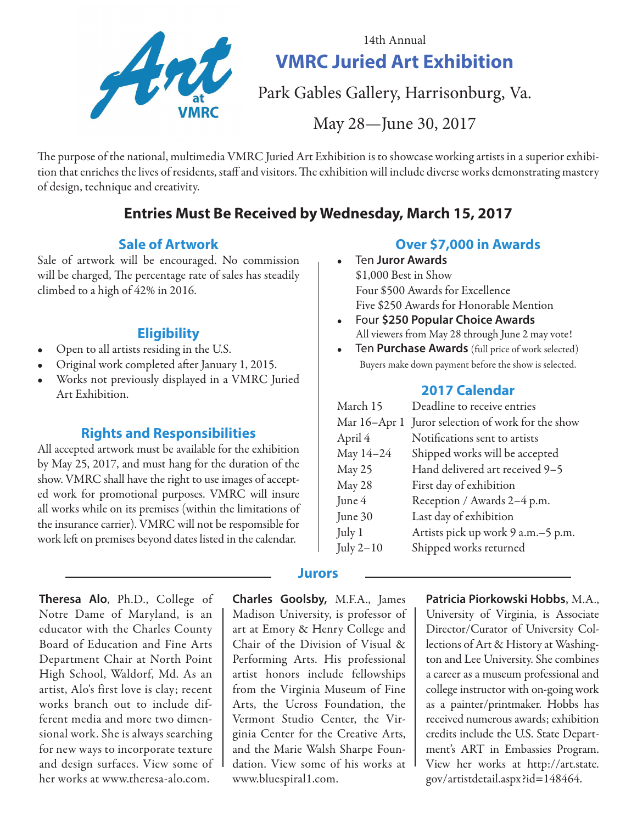

14th Annual **VMRC Juried Art Exhibition**

Park Gables Gallery, Harrisonburg, Va.

May 28—June 30, 2017

The purpose of the national, multimedia VMRC Juried Art Exhibition is to showcase working artists in a superior exhibition that enriches the lives of residents, staff and visitors. The exhibition will include diverse works demonstrating mastery of design, technique and creativity.

# **Entries Must Be Received by Wednesday, March 15, 2017**

#### **Sale of Artwork**

Sale of artwork will be encouraged. No commission will be charged, The percentage rate of sales has steadily climbed to a high of 42% in 2016.

#### **Eligibility**

- Open to all artists residing in the U.S.
- Original work completed after January 1, 2015.
- Works not previously displayed in a VMRC Juried Art Exhibition.

#### **Rights and Responsibilities**

All accepted artwork must be available for the exhibition by May 25, 2017, and must hang for the duration of the show. VMRC shall have the right to use images of accepted work for promotional purposes. VMRC will insure all works while on its premises (within the limitations of the insurance carrier). VMRC will not be respomsible for work left on premises beyond dates listed in the calendar.

**Theresa Alo**, Ph.D., College of Notre Dame of Maryland, is an educator with the Charles County Board of Education and Fine Arts Department Chair at North Point High School, Waldorf, Md. As an artist, Alo's first love is clay; recent works branch out to include different media and more two dimensional work. She is always searching for new ways to incorporate texture and design surfaces. View some of her works at www.theresa-alo.com.

**Charles Goolsby,** M.F.A., James Madison University, is professor of art at Emory & Henry College and Chair of the Division of Visual & Performing Arts. His professional artist honors include fellowships from the Virginia Museum of Fine Arts, the Ucross Foundation, the Vermont Studio Center, the Virginia Center for the Creative Arts, and the Marie Walsh Sharpe Foundation. View some of his works at www.bluespiral1.com.

#### **Over \$7,000 in Awards**

- Ten **Juror Awards** \$1,000 Best in Show Four \$500 Awards for Excellence Five \$250 Awards for Honorable Mention
- Four **\$250 Popular Choice Awards** All viewers from May 28 through June 2 may vote!
- Ten **Purchase Awards** (full price of work selected) Buyers make down payment before the show is selected.

#### **2017 Calendar**

| March 15      | Deadline to receive entries          |  |
|---------------|--------------------------------------|--|
| Mar 16–Apr 1  | Juror selection of work for the show |  |
| April 4       | Notifications sent to artists        |  |
| May 14-24     | Shipped works will be accepted       |  |
| <b>May 25</b> | Hand delivered art received 9-5      |  |
| May 28        | First day of exhibition              |  |
| June 4        | Reception / Awards 2-4 p.m.          |  |
| June 30       | Last day of exhibition               |  |
| July 1        | Artists pick up work 9 a.m. - 5 p.m. |  |
| July $2-10$   | Shipped works returned               |  |
|               |                                      |  |

#### **Patricia Piorkowski Hobbs**, M.A.,

University of Virginia, is Associate Director/Curator of University Collections of Art & History at Washington and Lee University. She combines a career as a museum professional and college instructor with on-going work as a painter/printmaker. Hobbs has received numerous awards; exhibition credits include the U.S. State Department's ART in Embassies Program. View her works at http://art.state. gov/artistdetail.aspx?id=148464.

#### **Jurors**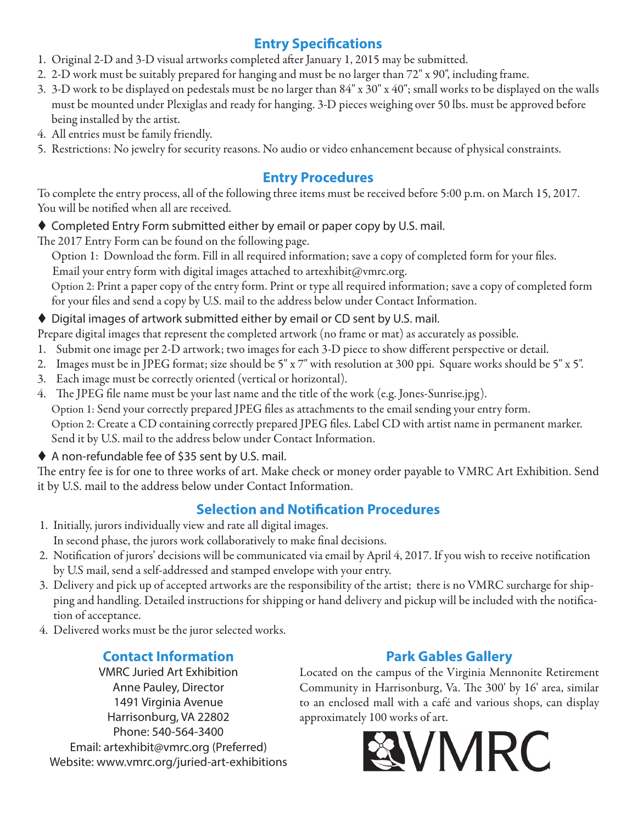# **Entry Specifications**

- 1. Original 2-D and 3-D visual artworks completed after January 1, 2015 may be submitted.
- 2. 2-D work must be suitably prepared for hanging and must be no larger than 72" x 90", including frame.
- 3. 3-D work to be displayed on pedestals must be no larger than 84" x 30" x 40"; small works to be displayed on the walls must be mounted under Plexiglas and ready for hanging. 3-D pieces weighing over 50 lbs. must be approved before being installed by the artist.
- 4. All entries must be family friendly.
- 5. Restrictions: No jewelry for security reasons. No audio or video enhancement because of physical constraints.

### **Entry Procedures**

To complete the entry process, all of the following three items must be received before 5:00 p.m. on March 15, 2017. You will be notified when all are received.

◆ Completed Entry Form submitted either by email or paper copy by U.S. mail.

The 2017 Entry Form can be found on the following page.

Option 1: Download the form. Fill in all required information; save a copy of completed form for your files.

Email your entry form with digital images attached to artexhibit@vmrc.org. Option 2: Print a paper copy of the entry form. Print or type all required information; save a copy of completed form

for your files and send a copy by U.S. mail to the address below under Contact Information.

#### ◆ Digital images of artwork submitted either by email or CD sent by U.S. mail.

Prepare digital images that represent the completed artwork (no frame or mat) as accurately as possible.

- 1. Submit one image per 2-D artwork; two images for each 3-D piece to show different perspective or detail.
- 2. Images must be in JPEG format; size should be 5" x 7" with resolution at 300 ppi. Square works should be 5" x 5".
- 3. Each image must be correctly oriented (vertical or horizontal).

4. The JPEG file name must be your last name and the title of the work (e.g. Jones-Sunrise.jpg).

Option 1: Send your correctly prepared JPEG files as attachments to the email sending your entry form.

Option 2: Create a CD containing correctly prepared JPEG files. Label CD with artist name in permanent marker. Send it by U.S. mail to the address below under Contact Information.

A non-refundable fee of \$35 sent by U.S. mail.

The entry fee is for one to three works of art. Make check or money order payable to VMRC Art Exhibition. Send it by U.S. mail to the address below under Contact Information.

# **Selection and Notification Procedures**

- 1. Initially, jurors individually view and rate all digital images. In second phase, the jurors work collaboratively to make final decisions.
- 2. Notification of jurors' decisions will be communicated via email by April 4, 2017. If you wish to receive notification by U.S mail, send a self-addressed and stamped envelope with your entry.
- 3. Delivery and pick up of accepted artworks are the responsibility of the artist; there is no VMRC surcharge for shipping and handling. Detailed instructions for shipping or hand delivery and pickup will be included with the notification of acceptance.
- 4. Delivered works must be the juror selected works.

# **Contact Information**

VMRC Juried Art Exhibition Anne Pauley, Director 1491 Virginia Avenue Harrisonburg, VA 22802 Phone: 540-564-3400 Email: artexhibit@vmrc.org (Preferred) Website: www.vmrc.org/juried-art-exhibitions

# **Park Gables Gallery**

Located on the campus of the Virginia Mennonite Retirement Community in Harrisonburg, Va. The 300' by 16' area, similar to an enclosed mall with a café and various shops, can display approximately 100 works of art.